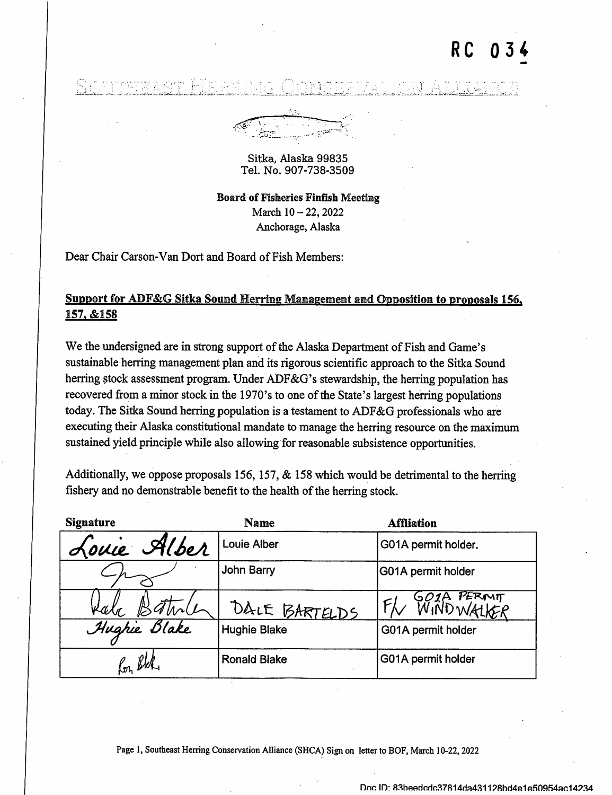## R C

لساسته المناسبة المناسبة المناسبة المناسبة المناسبة المناسبة المناسبة المناسبة المناسبة المناسبة المناسبة

 $\mathcal{L}(\mathcal{G})$  .  $\sqrt{ }$ 

## Sitka, Alaska 99835 Tel. No. 907-738-3509

Board of Fisheries Finfish Meeting March 10 - 22, 2022 Anchorage, Alaska

Dear Chair Carson-Van Dort and Board of Fish Members;

## Support for ADF&G Sitka Sound Herring Management and Opposition to proposals 156, 157. &158

We the undersigned are in strong support of the Alaska Department of Fish and Game's sustainable herring management plan and its rigorous scientific approach to the Sitka Sound herring stock assessment program. Under ADF&G's stewardship, the herring population has recovered from a minor stock in the 1970's to one of the State's largest herring populations today. The Sitka Sound herring population is a testament to ADF&G professionals who are executing their Alaska constitutional mandate to manage the herring resource on the maximum sustained yield principle while also allowing for reasonable subsistence opportunities.

Additionally, we oppose proposals 156, 157,  $&$  158 which would be detrimental to the herring fishery and no demonstrable benefit to the health of the herring stock.

| <b>Signature</b> | Name                | <b>Affliation</b>        |
|------------------|---------------------|--------------------------|
| Louie Alber      | <b>Louie Alber</b>  | G01A permit holder.      |
|                  | John Barry          | G01A permit holder       |
| Kala             | DALE BARTELDS       | GO2A PERMIT<br>WINDWALKE |
| Hughie Blake     | <b>Hughie Blake</b> | G01A permit holder       |
| Kon Bler         | <b>Ronald Blake</b> | G01A permit holder       |

Page 1, Southeast Herring Conservation Alliance (SHCA) Sign on letter to BOF, March 10-22, 2022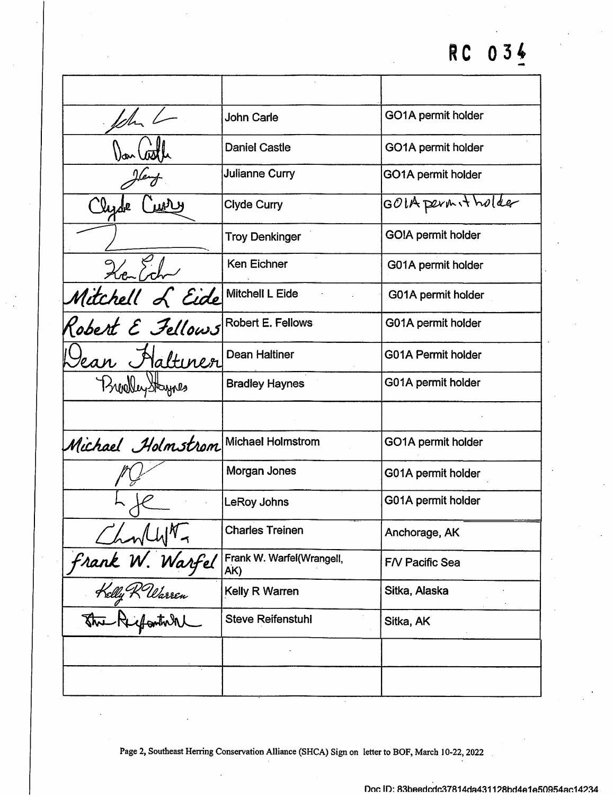|                                     | John Carle                       | GO1A permit holder        |
|-------------------------------------|----------------------------------|---------------------------|
|                                     | <b>Daniel Castle</b>             | GO1A permit holder        |
|                                     | <b>Julianne Curry</b>            | GO1A permit holder        |
|                                     | Clyde Curry                      | GOIA permit holder        |
|                                     | <b>Troy Denkinger</b>            | GO!A permit holder        |
| 26.6                                | Ken Eichner                      | G01A permit holder        |
| Mitchell L Eide<br>Robert E Fellows | Mitchell L Eide                  | G01A permit holder        |
|                                     | Robert E. Fellows                | G01A permit holder        |
| ean Haltiner                        | Dean Haltiner                    | <b>G01A Permit holder</b> |
| Brealley Staynes                    | <b>Bradley Haynes</b>            | G01A permit holder        |
|                                     |                                  |                           |
| Michael Holmstrom                   | Michael Holmstrom                | GO1A permit holder        |
|                                     | Morgan Jones                     | G01A permit holder        |
|                                     | LeRoy Johns                      | G01A permit holder        |
|                                     | <b>Charles Treinen</b>           | Anchorage, AK             |
|                                     | Frank W. Warfel(Wrangell,<br>AK) | F/V Pacific Sea           |
| Charly N. Warfel                    | Kelly R Warren                   | Sitka, Alaska             |
|                                     | <b>Steve Reifenstuhl</b>         | Sitka, AK                 |
|                                     |                                  |                           |
|                                     |                                  |                           |

Page 2, Southeast Herring Conservation Alliance (SHCA) Sign on letter to BOF, March 10-22, 2022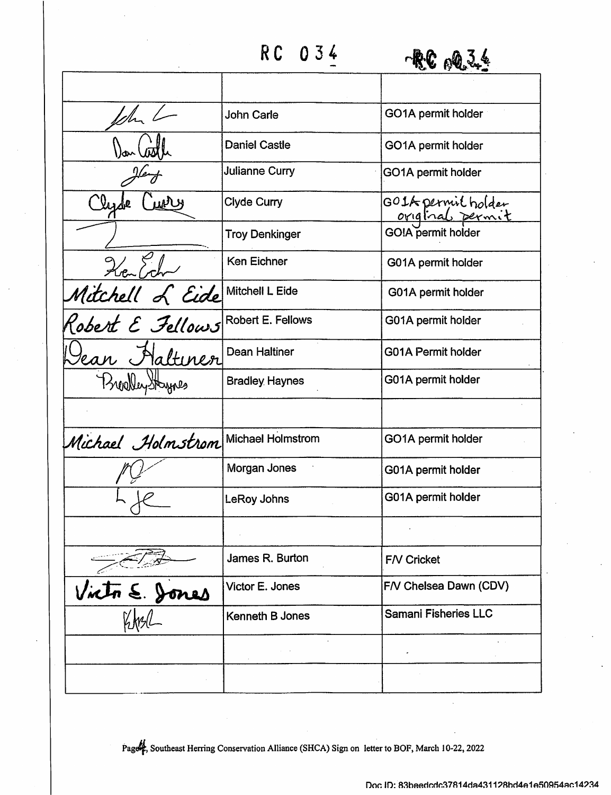RC 0 34



|                                                        | <b>John Carle</b>        | GO1A permit holder                   |
|--------------------------------------------------------|--------------------------|--------------------------------------|
|                                                        | <b>Daniel Castle</b>     | GO1A permit holder                   |
|                                                        | <b>Julianne Curry</b>    | GO1A permit holder                   |
|                                                        | Clyde Curry              | GOIA permit holder<br>original permi |
|                                                        | <b>Troy Denkinger</b>    | GO!A permit holder                   |
| Nitchell L Eide<br>Mitchell L Eide<br>Robert E Fellows | Ken Eichner              | G01A permit holder                   |
|                                                        | Mitchell L Eide          | G01A permit holder                   |
|                                                        | <b>Robert E. Fellows</b> | G01A permit holder                   |
| ean Haltinen                                           | Dean Haltiner            | <b>G01A Permit holder</b>            |
| BreatleyStaynes                                        | <b>Bradley Haynes</b>    | G01A permit holder                   |
|                                                        |                          |                                      |
| Michael Holmstrom                                      | <b>Michael Holmstrom</b> | GO1A permit holder                   |
|                                                        | Morgan Jones             | G01A permit holder                   |
|                                                        | LeRoy Johns              | G01A permit holder                   |
|                                                        |                          |                                      |
|                                                        | James R. Burton          | <b>F/V Cricket</b>                   |
| Victor E. Dones                                        | Victor E. Jones          | F/V Chelsea Dawn (CDV)               |
|                                                        | <b>Kenneth B Jones</b>   | <b>Samani Fisheries LLC</b>          |
|                                                        |                          |                                      |
|                                                        |                          |                                      |

Page<sup>1</sup>, Southeast Herring Conservation Alliance (SHCA) Sign on letter to BOF, March 10-22, 2022

Doc ID: 83beedcdc37814da431128bd4e1e50954ac14234